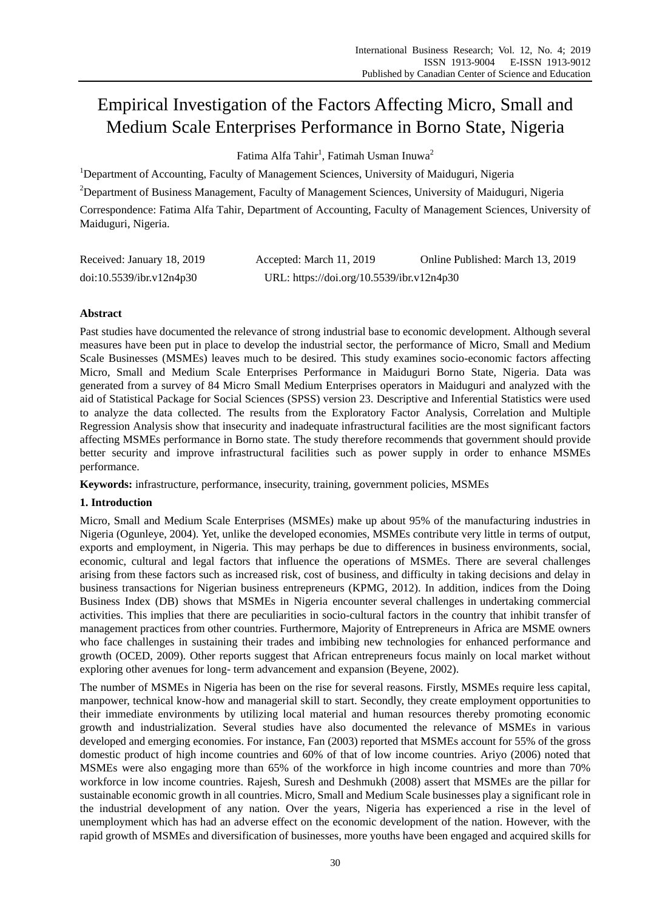# Empirical Investigation of the Factors Affecting Micro, Small and Medium Scale Enterprises Performance in Borno State, Nigeria

Fatima Alfa Tahir<sup>1</sup>, Fatimah Usman Inuwa<sup>2</sup>

<sup>1</sup>Department of Accounting, Faculty of Management Sciences, University of Maiduguri, Nigeria

<sup>2</sup>Department of Business Management, Faculty of Management Sciences, University of Maiduguri, Nigeria

Correspondence: Fatima Alfa Tahir, Department of Accounting, Faculty of Management Sciences, University of Maiduguri, Nigeria.

| Received: January 18, 2019 | Accepted: March 11, 2019                  | Online Published: March 13, 2019 |
|----------------------------|-------------------------------------------|----------------------------------|
| doi:10.5539/ibr.v12n4p30   | URL: https://doi.org/10.5539/ibr.v12n4p30 |                                  |

# **Abstract**

Past studies have documented the relevance of strong industrial base to economic development. Although several measures have been put in place to develop the industrial sector, the performance of Micro, Small and Medium Scale Businesses (MSMEs) leaves much to be desired. This study examines socio-economic factors affecting Micro, Small and Medium Scale Enterprises Performance in Maiduguri Borno State, Nigeria. Data was generated from a survey of 84 Micro Small Medium Enterprises operators in Maiduguri and analyzed with the aid of Statistical Package for Social Sciences (SPSS) version 23. Descriptive and Inferential Statistics were used to analyze the data collected. The results from the Exploratory Factor Analysis, Correlation and Multiple Regression Analysis show that insecurity and inadequate infrastructural facilities are the most significant factors affecting MSMEs performance in Borno state. The study therefore recommends that government should provide better security and improve infrastructural facilities such as power supply in order to enhance MSMEs performance.

**Keywords:** infrastructure, performance, insecurity, training, government policies, MSMEs

## **1. Introduction**

Micro, Small and Medium Scale Enterprises (MSMEs) make up about 95% of the manufacturing industries in Nigeria (Ogunleye, 2004). Yet, unlike the developed economies, MSMEs contribute very little in terms of output, exports and employment, in Nigeria. This may perhaps be due to differences in business environments, social, economic, cultural and legal factors that influence the operations of MSMEs. There are several challenges arising from these factors such as increased risk, cost of business, and difficulty in taking decisions and delay in business transactions for Nigerian business entrepreneurs (KPMG, 2012). In addition, indices from the Doing Business Index (DB) shows that MSMEs in Nigeria encounter several challenges in undertaking commercial activities. This implies that there are peculiarities in socio-cultural factors in the country that inhibit transfer of management practices from other countries. Furthermore, Majority of Entrepreneurs in Africa are MSME owners who face challenges in sustaining their trades and imbibing new technologies for enhanced performance and growth (OCED, 2009). Other reports suggest that African entrepreneurs focus mainly on local market without exploring other avenues for long- term advancement and expansion (Beyene, 2002).

The number of MSMEs in Nigeria has been on the rise for several reasons. Firstly, MSMEs require less capital, manpower, technical know-how and managerial skill to start. Secondly, they create employment opportunities to their immediate environments by utilizing local material and human resources thereby promoting economic growth and industrialization. Several studies have also documented the relevance of MSMEs in various developed and emerging economies. For instance, Fan (2003) reported that MSMEs account for 55% of the gross domestic product of high income countries and 60% of that of low income countries. Ariyo (2006) noted that MSMEs were also engaging more than 65% of the workforce in high income countries and more than 70% workforce in low income countries. Rajesh, Suresh and Deshmukh (2008) assert that MSMEs are the pillar for sustainable economic growth in all countries. Micro, [Small and Medium Scale businesses play a significant role in](javascript:openDSC(628226888,%202209,%20)  [the industrial development of any](javascript:openDSC(628226888,%202209,%20) nation. Over the years, Nigeria has experienced a rise in the level of unemployment which has had an adverse effect on the economic development of the nation. However, with the rapid growth of MSMEs and diversification of businesses, more youths have been engaged and acquired skills for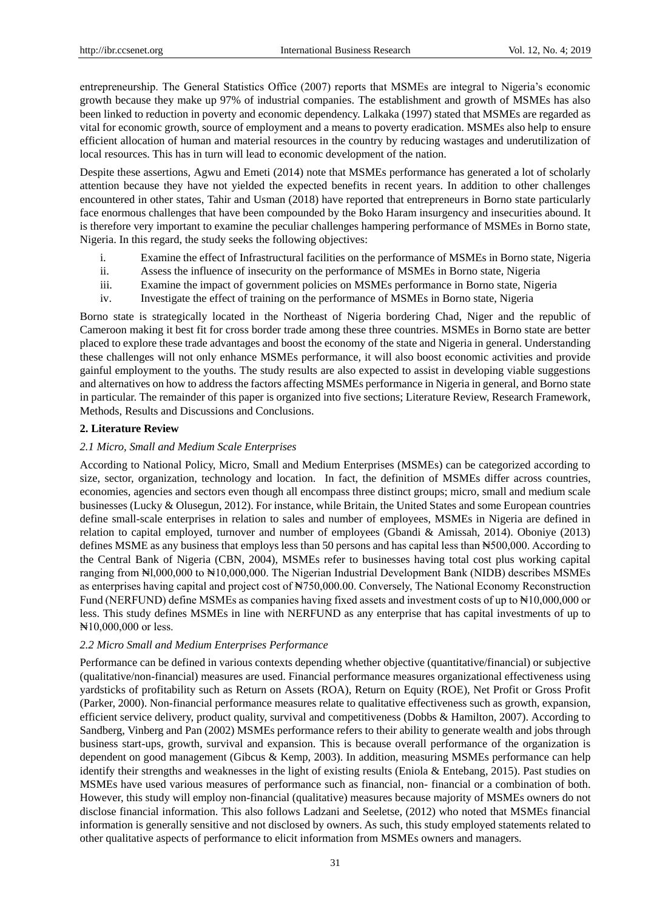entrepreneurship. The General Statistics Office (2007) reports that MSMEs are integral to Nigeria's economic growth because they make up 97% of industrial companies. The establishment and growth of MSMEs has also been linked to reduction in poverty and economic dependency. Lalkaka (1997) stated that MSMEs are regarded as vital for economic growth, source of employment and a means to poverty eradication. MSMEs also help to ensure efficient allocation of human and material resources in the country by reducing wastages and underutilization of local resources. This has in turn will lead to economic development of the nation.

Despite these assertions, Agwu and Emeti (2014) note that MSMEs performance has generated a lot of scholarly attention because they have not yielded the expected benefits in recent years. In addition to other challenges encountered in other states, Tahir and Usman (2018) have reported that entrepreneurs in Borno state particularly face enormous challenges that have been compounded by the Boko Haram insurgency and insecurities abound. It is therefore very important to examine the peculiar challenges hampering performance of MSMEs in Borno state, Nigeria. In this regard, the study seeks the following objectives:

- i. Examine the effect of Infrastructural facilities on the performance of MSMEs in Borno state, Nigeria
- ii. Assess the influence of insecurity on the performance of MSMEs in Borno state, Nigeria
- iii. Examine the impact of government policies on MSMEs performance in Borno state, Nigeria
- iv. Investigate the effect of training on the performance of MSMEs in Borno state, Nigeria

Borno state is strategically located in the Northeast of Nigeria bordering Chad, Niger and the republic of Cameroon making it best fit for cross border trade among these three countries. MSMEs in Borno state are better placed to explore these trade advantages and boost the economy of the state and Nigeria in general. Understanding these challenges will not only enhance MSMEs performance, it will also boost economic activities and provide gainful employment to the youths. The study results are also expected to assist in developing viable suggestions and alternatives on how to address the factors affecting MSMEs performance in Nigeria in general, and Borno state in particular. The remainder of this paper is organized into five sections; Literature Review, Research Framework, Methods, Results and Discussions and Conclusions.

## **2. Literature Review**

## *2.1 Micro, Small and Medium Scale Enterprises*

According to National Policy, Micro, Small and Medium Enterprises (MSMEs) can be categorized according to size, sector, organization, technology and location. In fact, the definition of MSMEs differ across countries, economies, agencies and sectors even though all encompass three distinct groups; micro, small and medium scale businesses (Lucky & Olusegun, 2012). For instance, while Britain, the United States and some European countries define small-scale enterprises in relation to sales and number of employees, MSMEs in Nigeria are defined in relation to capital employed, turnover and number of employees (Gbandi & Amissah, 2014). Oboniye (2013) defines MSME as any business that employs less than 50 persons and has capital less than N500,000. According to the Central Bank of Nigeria (CBN, 2004), MSMEs refer to businesses having total cost plus working capital ranging from ₦l,000,000 to ₦10,000,000. The Nigerian Industrial Development Bank (NIDB) describes MSMEs as enterprises having capital and project cost of ₦750,000.00. Conversely, The National Economy Reconstruction Fund (NERFUND) define MSMEs as companies having fixed assets and investment costs of up to #10,000,000 or less. This study defines MSMEs in line with NERFUND as any enterprise that has capital investments of up to ₦10,000,000 or less.

## *2.2 Micro Small and Medium Enterprises Performance*

Performance can be defined in various contexts depending whether objective (quantitative/financial) or subjective (qualitative/non-financial) measures are used. Financial performance measures organizational effectiveness using yardsticks of profitability such as Return on Assets (ROA), Return on Equity (ROE), Net Profit or Gross Profit (Parker, 2000). Non-financial performance measures relate to qualitative effectiveness such as growth, expansion, efficient service delivery, product quality, survival and competitiveness (Dobbs & Hamilton, 2007). According to Sandberg, Vinberg and Pan (2002) MSMEs performance refers to their ability to generate wealth and jobs through business start-ups, growth, survival and expansion. This is because overall performance of the organization is dependent on good management (Gibcus & Kemp, 2003). In addition, measuring MSMEs performance can help identify their strengths and weaknesses in the light of existing results (Eniola & Entebang, 2015). Past studies on MSMEs have used various measures of performance such as financial, non- financial or a combination of both. However, this study will employ non-financial (qualitative) measures because majority of MSMEs owners do not disclose financial information. This also follows Ladzani and Seeletse, (2012) who noted that MSMEs financial information is generally sensitive and not disclosed by owners. As such, this study employed statements related to other qualitative aspects of performance to elicit information from MSMEs owners and managers.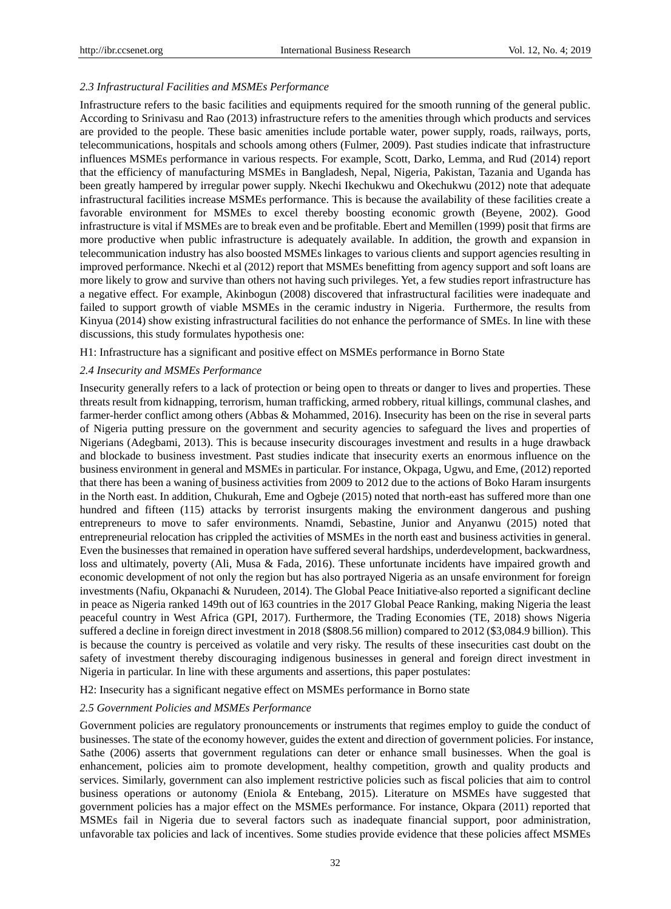## *2.3 Infrastructural Facilities and MSMEs Performance*

Infrastructure refers to the basic facilities and equipments required for the smooth running of the general public. According to Srinivasu and Rao (2013) infrastructure refers to the amenities through which products and services are provided to the people. These basic amenities include portable water, power supply, roads, railways, ports, telecommunications, hospitals and schools among others (Fulmer, 2009). Past studies indicate that infrastructure influences MSMEs performance in various respects. For example, Scott, Darko, Lemma, and Rud (2014) report that the efficiency of manufacturing MSMEs in Bangladesh, Nepal, Nigeria, Pakistan, Tazania and Uganda has been greatly hampered by irregular power supply. Nkechi Ikechukwu and Okechukwu (2012) note that adequate infrastructural facilities increase MSMEs performance. This is because the availability of these facilities create a favorable environment for MSMEs to excel thereby boosting economic growth (Beyene, 2002). Good infrastructure is vital if MSMEs are to break even and be profitable. Ebert and Memillen (1999) posit that firms are more productive when public infrastructure is adequately available. In addition, the growth and expansion in telecommunication industry has also boosted MSMEs linkages to various clients and support agencies resulting in improved performance. Nkechi et al (2012) report that MSMEs benefitting from agency support and soft loans are more likely to grow and survive than others not having such privileges. Yet, a few studies report infrastructure has a negative effect. For example, Akinbogun (2008) discovered that infrastructural facilities were inadequate and failed to support growth of viable MSMEs in the ceramic industry in Nigeria. Furthermore, the results from Kinyua (2014) show existing infrastructural facilities do not enhance the performance of SMEs. In line with these discussions, this study formulates hypothesis one:

H1: Infrastructure has a significant and positive effect on MSMEs performance in Borno State

## *2.4 Insecurity and MSMEs Performance*

Insecurity generally refers to a lack of protection or being open to threats or danger to lives and properties. These threats result from kidnapping, terrorism, human trafficking, armed robbery, ritual killings, communal clashes, and farmer-herder conflict among others (Abbas & Mohammed, 2016). Insecurity has been on the rise in several parts of Nigeria putting pressure on the government and security agencies to safeguard the lives and properties of Nigerians (Adegbami, 2013). This is because insecurity discourages investment and results in a huge drawback and blockade to business investment. Past studies indicate that insecurity exerts an enormous influence on the business environment in general and MSMEs in particular. For instance, Okpaga, Ugwu, and Eme, (2012) reported that there has been a waning of business activities from 2009 to 2012 due to the actions of Boko Haram insurgents in the North east. In addition, Chukurah, Eme and Ogbeje (2015) noted that north-east has suffered more than one hundred and fifteen (115) attacks by terrorist insurgents making the environment dangerous and pushing entrepreneurs to move to safer environments. Nnamdi, Sebastine, Junior and Anyanwu (2015) noted that entrepreneurial relocation has crippled the activities of MSMEs in the north east and business activities in general. Even the businesses that remained in operation have suffered several hardships, underdevelopment, backwardness, loss and ultimately, poverty (Ali, Musa & Fada, 2016). These unfortunate incidents have impaired growth and economic development of not only the region but has also portrayed Nigeria as an unsafe environment for foreign investments (Nafiu, Okpanachi & Nurudeen, 2014). The Global Peace Initiative also reported a significant decline in peace as Nigeria ranked 149th out of l63 countries in the 2017 Global Peace Ranking, making Nigeria the least peaceful country in West Africa (GPI, 2017). Furthermore, the Trading Economies (TE, 2018) shows Nigeria suffered a decline in foreign direct investment in 2018 (\$808.56 million) compared to 2012 (\$3,084.9 billion). This is because the country is perceived as volatile and very risky. The results of these insecurities cast doubt on the safety of investment thereby discouraging indigenous businesses in general and foreign direct investment in Nigeria in particular. In line with these arguments and assertions, this paper postulates:

H2: Insecurity has a significant negative effect on MSMEs performance in Borno state

## *2.5 Government Policies and MSMEs Performance*

Government policies are regulatory pronouncements or instruments that regimes employ to guide the conduct of businesses. The state of the economy however, guides the extent and direction of government policies. For instance, Sathe (2006) asserts that government regulations can deter or enhance small businesses. When the goal is enhancement, policies aim to promote development, healthy competition, growth and quality products and services. Similarly, government can also implement restrictive policies such as fiscal policies that aim to control business operations or autonomy (Eniola & Entebang, 2015). Literature on MSMEs have suggested that government policies has a major effect on the MSMEs performance. For instance, Okpara (2011) reported that MSMEs fail in Nigeria due to several factors such as inadequate financial support, poor administration, unfavorable tax policies and lack of incentives. Some studies provide evidence that these policies affect MSMEs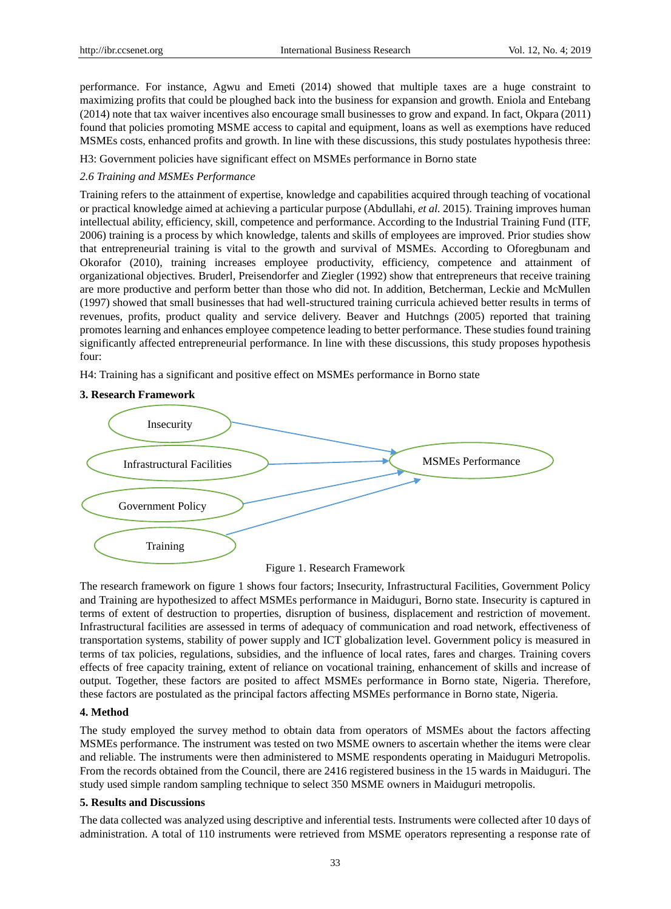performance. For instance, Agwu and Emeti (2014) showed that multiple taxes are a huge constraint to maximizing profits that could be ploughed back into the business for expansion and growth. Eniola and Entebang (2014) note that tax waiver incentives also encourage small businesses to grow and expand. In fact, Okpara (2011) found that policies promoting MSME access to capital and equipment, loans as well as exemptions have reduced MSMEs costs, enhanced profits and growth. In line with these discussions, this study postulates hypothesis three:

H3: Government policies have significant effect on MSMEs performance in Borno state

## *2.6 Training and MSMEs Performance*

Training refers to the attainment of expertise, knowledge and capabilities acquired through teaching of vocational or practical knowledge aimed at achieving a particular purpose (Abdullahi, *et al.* 2015). Training improves human intellectual ability, efficiency, skill, competence and performance. According to the Industrial Training Fund (ITF, 2006) training is a process by which knowledge, talents and skills of employees are improved. Prior studies show that entrepreneurial training is vital to the growth and survival of MSMEs. According to Oforegbunam and Okorafor (2010), training increases employee productivity, efficiency, competence and attainment of organizational objectives. Bruderl, Preisendorfer and Ziegler (1992) show that entrepreneurs that receive training are more productive and perform better than those who did not. In addition, Betcherman, Leckie and McMullen (1997) showed that small businesses that had well-structured training curricula achieved better results in terms of revenues, profits, product quality and service delivery. Beaver and Hutchngs (2005) reported that training promotes learning and enhances employee competence leading to better performance. These studies found training significantly affected entrepreneurial performance. In line with these discussions, this study proposes hypothesis four:

H4: Training has a significant and positive effect on MSMEs performance in Borno state

## **3. Research Framework**





The research framework on figure 1 shows four factors; Insecurity, Infrastructural Facilities, Government Policy and Training are hypothesized to affect MSMEs performance in Maiduguri, Borno state. Insecurity is captured in terms of extent of destruction to properties, disruption of business, displacement and restriction of movement. Infrastructural facilities are assessed in terms of adequacy of communication and road network, effectiveness of transportation systems, stability of power supply and ICT globalization level. Government policy is measured in terms of tax policies, regulations, subsidies, and the influence of local rates, fares and charges. Training covers effects of free capacity training, extent of reliance on vocational training, enhancement of skills and increase of output. Together, these factors are posited to affect MSMEs performance in Borno state, Nigeria. Therefore, these factors are postulated as the principal factors affecting MSMEs performance in Borno state, Nigeria.

## **4. Method**

The study employed the survey method to obtain data from operators of MSMEs about the factors affecting MSMEs performance. The instrument was tested on two MSME owners to ascertain whether the items were clear and reliable. The instruments were then administered to MSME respondents operating in Maiduguri Metropolis. From the records obtained from the Council, there are 2416 registered business in the 15 wards in Maiduguri. The study used simple random sampling technique to select 350 MSME owners in Maiduguri metropolis.

## **5. Results and Discussions**

The data collected was analyzed using descriptive and inferential tests. Instruments were collected after 10 days of administration. A total of 110 instruments were retrieved from MSME operators representing a response rate of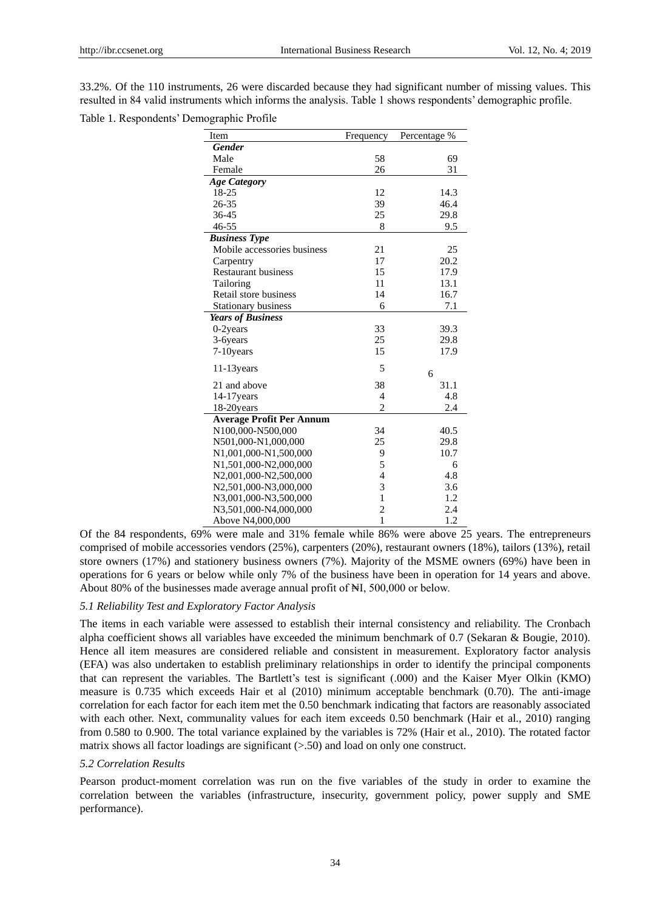33.2%. Of the 110 instruments, 26 were discarded because they had significant number of missing values. This resulted in 84 valid instruments which informs the analysis. Table 1 shows respondents' demographic profile.

Table 1. Respondents' Demographic Profile

| Item                            | Frequency      | Percentage % |
|---------------------------------|----------------|--------------|
| <b>Gender</b>                   |                |              |
| Male                            | 58             | 69           |
| Female                          | 26             | 31           |
| <b>Age Category</b>             |                |              |
| 18-25                           | 12             | 14.3         |
| 26-35                           | 39             | 46.4         |
| 36-45                           | 25             | 29.8         |
| $46 - 55$                       | 8              | 9.5          |
| <b>Business Type</b>            |                |              |
| Mobile accessories business     | 21             | 25           |
| Carpentry                       | 17             | 20.2         |
| <b>Restaurant business</b>      | 15             | 17.9         |
| Tailoring                       | 11             | 13.1         |
| Retail store business           | 14             | 16.7         |
| Stationary business             | 6              | 7.1          |
| <b>Years of Business</b>        |                |              |
| $0-2$ years                     | 33             | 39.3         |
| 3-6years                        | 25             | 29.8         |
| 7-10years                       | 15             | 17.9         |
| $11-13$ years                   | 5              |              |
|                                 |                | 6            |
| 21 and above                    | 38             | 31.1         |
| 14-17years                      | 4              | 4.8          |
| 18-20years                      | $\overline{2}$ | 2.4          |
| <b>Average Profit Per Annum</b> |                |              |
| N100,000-N500,000               | 34             | 40.5         |
| N501,000-N1,000,000             | 25             | 29.8         |
| N1,001,000-N1,500,000           | 9              | 10.7         |
| N1,501,000-N2,000,000           | 5              | 6            |
| N2,001,000-N2,500,000           | $\overline{4}$ | 4.8          |
| N2,501,000-N3,000,000           | 3              | 3.6          |
| N3,001,000-N3,500,000           | $\mathbf{1}$   | 1.2          |
| N3,501,000-N4,000,000           | $\overline{c}$ | 2.4          |
| Above N4,000,000                | $\mathbf{1}$   | 1.2          |

Of the 84 respondents, 69% were male and 31% female while 86% were above 25 years. The entrepreneurs comprised of mobile accessories vendors (25%), carpenters (20%), restaurant owners (18%), tailors (13%), retail store owners (17%) and stationery business owners (7%). Majority of the MSME owners (69%) have been in operations for 6 years or below while only 7% of the business have been in operation for 14 years and above. About 80% of the businesses made average annual profit of NI, 500,000 or below.

## *5.1 Reliability Test and Exploratory Factor Analysis*

The items in each variable were assessed to establish their internal consistency and reliability. The Cronbach alpha coefficient shows all variables have exceeded the minimum benchmark of 0.7 (Sekaran & Bougie, 2010). Hence all item measures are considered reliable and consistent in measurement. Exploratory factor analysis (EFA) was also undertaken to establish preliminary relationships in order to identify the principal components that can represent the variables. The Bartlett's test is significant (.000) and the Kaiser Myer Olkin (KMO) measure is 0.735 which exceeds Hair et al (2010) minimum acceptable benchmark (0.70). The anti-image correlation for each factor for each item met the 0.50 benchmark indicating that factors are reasonably associated with each other. Next, communality values for each item exceeds 0.50 benchmark (Hair et al., 2010) ranging from 0.580 to 0.900. The total variance explained by the variables is 72% (Hair et al., 2010). The rotated factor matrix shows all factor loadings are significant (>.50) and load on only one construct.

#### *5.2 Correlation Results*

Pearson product-moment correlation was run on the five variables of the study in order to examine the correlation between the variables (infrastructure, insecurity, government policy, power supply and SME performance).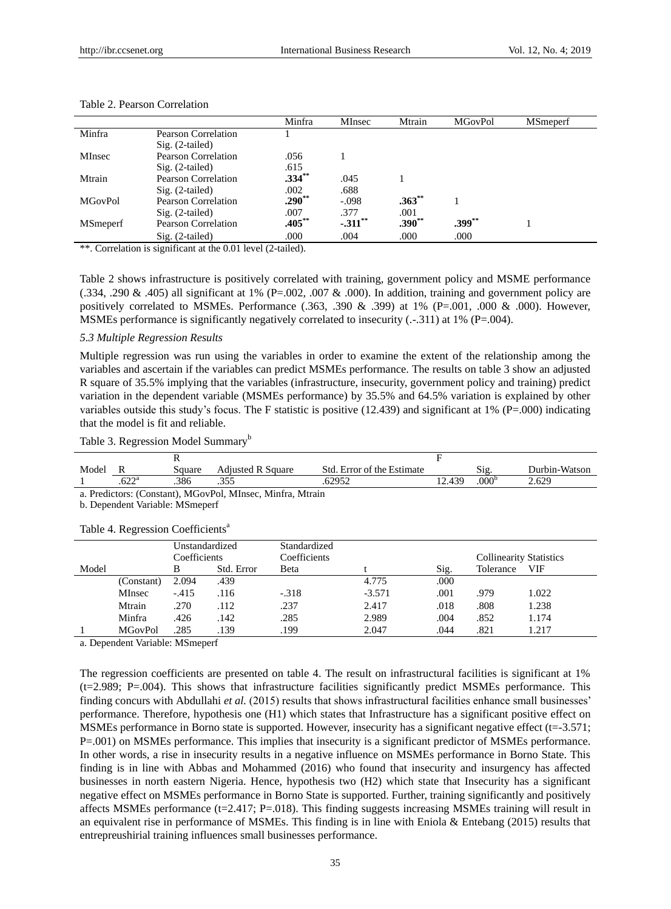|                  |                     | Minfra    | MInsec     | Mtrain      | <b>MGovPol</b> | <b>MSmeperf</b> |
|------------------|---------------------|-----------|------------|-------------|----------------|-----------------|
| Minfra           | Pearson Correlation |           |            |             |                |                 |
|                  | $Sig. (2-tailed)$   |           |            |             |                |                 |
| <b>MInsec</b>    | Pearson Correlation | .056      |            |             |                |                 |
|                  | $Sig. (2-tailed)$   | .615      |            |             |                |                 |
| Mtrain           | Pearson Correlation | $.334***$ | .045       |             |                |                 |
|                  | $Sig. (2-tailed)$   | .002      | .688       |             |                |                 |
| <b>MGovPol</b>   | Pearson Correlation | $.290**$  | $-.098$    | $.363^{**}$ |                |                 |
|                  | $Sig. (2-tailed)$   | .007      | .377       | .001        |                |                 |
| <b>MS</b> meperf | Pearson Correlation | $.405***$ | $-.311$ ** | $.390**$    | $.399***$      |                 |
|                  | $Sig. (2-tailed)$   | .000      | .004       | .000        | .000           |                 |

#### Table 2. Pearson Correlation

\*\*. Correlation is significant at the 0.01 level (2-tailed).

Table 2 shows infrastructure is positively correlated with training, government policy and MSME performance  $(0.334, 0.290 \& 0.405)$  all significant at 1% (P=.002, 0.007 & .000). In addition, training and government policy are positively correlated to MSMEs. Performance (.363, .390 & .399) at 1% (P=.001, .000 & .000). However, MSMEs performance is significantly negatively correlated to insecurity (.-.311) at 1% (P=.004).

#### *5.3 Multiple Regression Results*

Multiple regression was run using the variables in order to examine the extent of the relationship among the variables and ascertain if the variables can predict MSMEs performance. The results on table 3 show an adjusted R square of 35.5% implying that the variables (infrastructure, insecurity, government policy and training) predict variation in the dependent variable (MSMEs performance) by 35.5% and 64.5% variation is explained by other variables outside this study's focus. The F statistic is positive  $(12.439)$  and significant at 1%  $(P=.000)$  indicating that the model is fit and reliable.

| Model | V                     | Square | Adiusted R<br>Square | Std<br>Error of the Estimate |     | n.<br>S12.        | Durbin-Watson  |
|-------|-----------------------|--------|----------------------|------------------------------|-----|-------------------|----------------|
|       | $\epsilon$ na<br>.UZZ | .386   | ~ - -<br>$\sim$      | 62952                        | 43c | .000 <sup>b</sup> | $2.62^{\circ}$ |

a. Predictors: (Constant), MGovPol, MInsec, Minfra, Mtrain

b. Dependent Variable: MSmeperf

|       |                | Unstandardized<br>Coefficients |            | Standardized<br>Coefficients |          | <b>Collinearity Statistics</b> |           |       |
|-------|----------------|--------------------------------|------------|------------------------------|----------|--------------------------------|-----------|-------|
|       |                |                                |            |                              |          |                                |           |       |
| Model |                | В                              | Std. Error | Beta                         |          | Sig.                           | Tolerance | VIF   |
|       | (Constant)     | 2.094                          | .439       |                              | 4.775    | .000                           |           |       |
|       | MInsec         | $-415$                         | .116       | $-.318$                      | $-3.571$ | .001                           | .979      | 1.022 |
|       | Mtrain         | .270                           | .112       | .237                         | 2.417    | .018                           | .808      | 1.238 |
|       | Minfra         | .426                           | .142       | .285                         | 2.989    | .004                           | .852      | 1.174 |
|       | <b>MGovPol</b> | 285                            | .139       | .199                         | 2.047    | .044                           | .821      | 1.217 |

#### Table 4. Regression Coefficients<sup>a</sup>

a. Dependent Variable: MSmeperf

The regression coefficients are presented on table 4. The result on infrastructural facilities is significant at 1% (t=2.989; P=.004). This shows that infrastructure facilities significantly predict MSMEs performance. This finding concurs with Abdullahi *et al.* (2015) results that shows infrastructural facilities enhance small businesses' performance. Therefore, hypothesis one (H1) which states that Infrastructure has a significant positive effect on MSMEs performance in Borno state is supported. However, insecurity has a significant negative effect  $(t=-3.571)$ ; P=.001) on MSMEs performance. This implies that insecurity is a significant predictor of MSMEs performance. In other words, a rise in insecurity results in a negative influence on MSMEs performance in Borno State. This finding is in line with Abbas and Mohammed (2016) who found that insecurity and insurgency has affected businesses in north eastern Nigeria. Hence, hypothesis two (H2) which state that Insecurity has a significant negative effect on MSMEs performance in Borno State is supported. Further, training significantly and positively affects MSMEs performance  $(t=2.417; P=0.018)$ . This finding suggests increasing MSMEs training will result in an equivalent rise in performance of MSMEs. This finding is in line with Eniola & Entebang (2015) results that entrepreushirial training influences small businesses performance.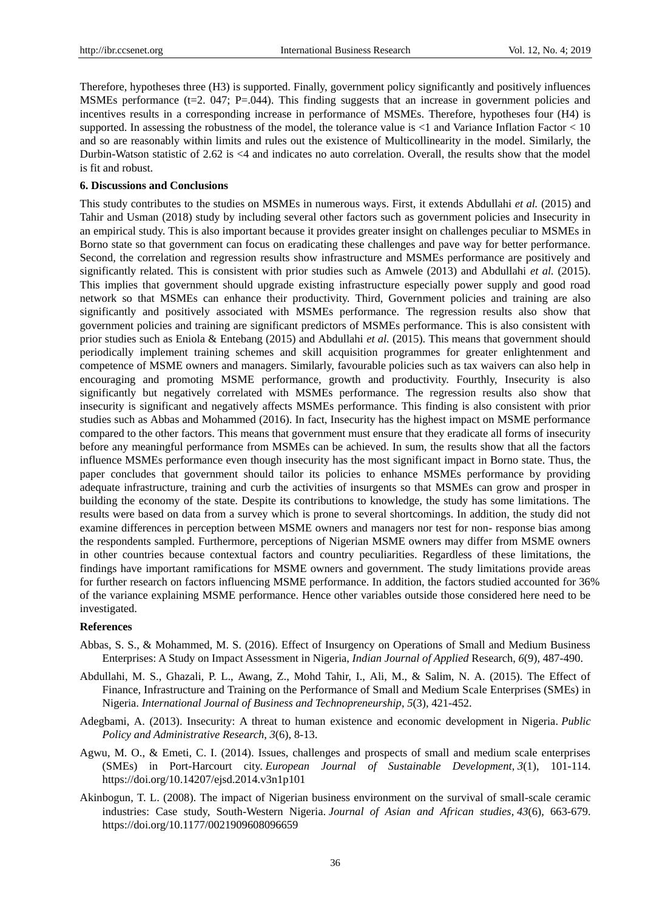Therefore, hypotheses three (H3) is supported. Finally, government policy significantly and positively influences MSMEs performance (t=2. 047; P=.044). This finding suggests that an increase in government policies and incentives results in a corresponding increase in performance of MSMEs. Therefore, hypotheses four (H4) is supported. In assessing the robustness of the model, the tolerance value is  $\lt 1$  and Variance Inflation Factor  $\lt 10$ and so are reasonably within limits and rules out the existence of Multicollinearity in the model. Similarly, the Durbin-Watson statistic of 2.62 is <4 and indicates no auto correlation. Overall, the results show that the model is fit and robust.

## **6. Discussions and Conclusions**

This study contributes to the studies on MSMEs in numerous ways. First, it extends Abdullahi *et al.* (2015) and Tahir and Usman (2018) study by including several other factors such as government policies and Insecurity in an empirical study. This is also important because it provides greater insight on challenges peculiar to MSMEs in Borno state so that government can focus on eradicating these challenges and pave way for better performance. Second, the correlation and regression results show infrastructure and MSMEs performance are positively and significantly related. This is consistent with prior studies such as Amwele (2013) and Abdullahi *et al.* (2015). This implies that government should upgrade existing infrastructure especially power supply and good road network so that MSMEs can enhance their productivity. Third, Government policies and training are also significantly and positively associated with MSMEs performance. The regression results also show that government policies and training are significant predictors of MSMEs performance. This is also consistent with prior studies such as Eniola & Entebang (2015) and Abdullahi *et al.* (2015). This means that government should periodically implement training schemes and skill acquisition programmes for greater enlightenment and competence of MSME owners and managers. Similarly, favourable policies such as tax waivers can also help in encouraging and promoting MSME performance, growth and productivity. Fourthly, Insecurity is also significantly but negatively correlated with MSMEs performance. The regression results also show that insecurity is significant and negatively affects MSMEs performance. This finding is also consistent with prior studies such as Abbas and Mohammed (2016). In fact, Insecurity has the highest impact on MSME performance compared to the other factors. This means that government must ensure that they eradicate all forms of insecurity before any meaningful performance from MSMEs can be achieved. In sum, the results show that all the factors influence MSMEs performance even though insecurity has the most significant impact in Borno state. Thus, the paper concludes that government should tailor its policies to enhance MSMEs performance by providing adequate infrastructure, training and curb the activities of insurgents so that MSMEs can grow and prosper in building the economy of the state. Despite its contributions to knowledge, the study has some limitations. The results were based on data from a survey which is prone to several shortcomings. In addition, the study did not examine differences in perception between MSME owners and managers nor test for non- response bias among the respondents sampled. Furthermore, perceptions of Nigerian MSME owners may differ from MSME owners in other countries because contextual factors and country peculiarities. Regardless of these limitations, the findings have important ramifications for MSME owners and government. The study limitations provide areas for further research on factors influencing MSME performance. In addition, the factors studied accounted for 36% of the variance explaining MSME performance. Hence other variables outside those considered here need to be investigated.

## **References**

- Abbas, S. S., & Mohammed, M. S. (2016). Effect of Insurgency on Operations of Small and Medium Business Enterprises: A Study on Impact Assessment in Nigeria, *Indian Journal of Applied* Research, *6*(9), 487-490.
- Abdullahi, M. S., Ghazali, P. L., Awang, Z., Mohd Tahir, I., Ali, M., & Salim, N. A. (2015). The Effect of Finance, Infrastructure and Training on the Performance of Small and Medium Scale Enterprises (SMEs) in Nigeria. *International Journal of Business and Technopreneurship*, *5*(3), 421-452.
- Adegbami, A. (2013). Insecurity: A threat to human existence and economic development in Nigeria. *Public Policy and Administrative Research*, *3*(6), 8-13.
- Agwu, M. O., & Emeti, C. I. (2014). Issues, challenges and prospects of small and medium scale enterprises (SMEs) in Port-Harcourt city. *European Journal of Sustainable Development*, *3*(1), 101-114. https://doi.org/10.14207/ejsd.2014.v3n1p101
- Akinbogun, T. L. (2008). The impact of Nigerian business environment on the survival of small-scale ceramic industries: Case study, South-Western Nigeria. *Journal of Asian and African studies*, *43*(6), 663-679. https://doi.org/10.1177/0021909608096659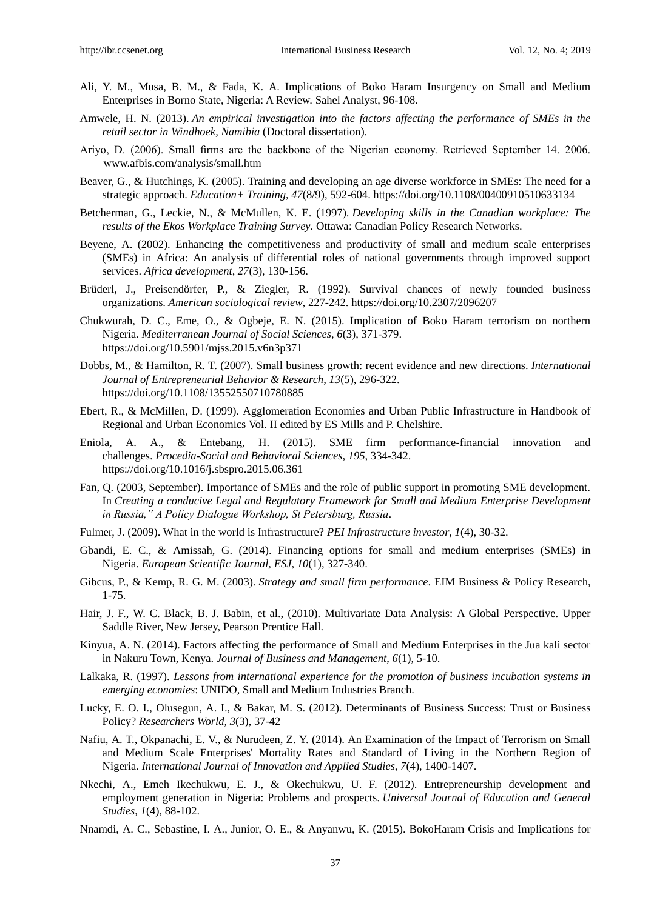- Ali, Y. M., Musa, B. M., & Fada, K. A. Implications of Boko Haram Insurgency on Small and Medium Enterprises in Borno State, Nigeria: A Review. Sahel Analyst, 96-108.
- Amwele, H. N. (2013). *An empirical investigation into the factors affecting the performance of SMEs in the retail sector in Windhoek, Namibia* (Doctoral dissertation).
- Ariyo, D. (2006). Small firms are the backbone of the Nigerian economy. Retrieved September 14. 2006. www.afbis.com/analysis/small.htm
- Beaver, G., & Hutchings, K. (2005). Training and developing an age diverse workforce in SMEs: The need for a strategic approach. *Education+ Training*, *47*(8/9), 592-604. https://doi.org/10.1108/00400910510633134
- Betcherman, G., Leckie, N., & McMullen, K. E. (1997). *Developing skills in the Canadian workplace: The results of the Ekos Workplace Training Survey*. Ottawa: Canadian Policy Research Networks.
- Beyene, A. (2002). Enhancing the competitiveness and productivity of small and medium scale enterprises (SMEs) in Africa: An analysis of differential roles of national governments through improved support services. *Africa development*, *27*(3), 130-156.
- Brüderl, J., Preisendörfer, P., & Ziegler, R. (1992). Survival chances of newly founded business organizations. *American sociological review*, 227-242. https://doi.org/10.2307/2096207
- Chukwurah, D. C., Eme, O., & Ogbeje, E. N. (2015). Implication of Boko Haram terrorism on northern Nigeria. *Mediterranean Journal of Social Sciences*, *6*(3), 371-379. https://doi.org/10.5901/mjss.2015.v6n3p371
- Dobbs, M., & Hamilton, R. T. (2007). Small business growth: recent evidence and new directions. *International Journal of Entrepreneurial Behavior & Research*, *13*(5), 296-322. https://doi.org/10.1108/13552550710780885
- Ebert, R., & McMillen, D. (1999). Agglomeration Economies and Urban Public Infrastructure in Handbook of Regional and Urban Economics Vol. II edited by ES Mills and P. Chelshire.
- Eniola, A. A., & Entebang, H. (2015). SME firm performance-financial innovation and challenges. *Procedia-Social and Behavioral Sciences*, *195*, 334-342. https://doi.org/10.1016/j.sbspro.2015.06.361
- Fan, Q. (2003, September). Importance of SMEs and the role of public support in promoting SME development. In *Creating a conducive Legal and Regulatory Framework for Small and Medium Enterprise Development in Russia," A Policy Dialogue Workshop, St Petersburg, Russia*.
- Fulmer, J. (2009). What in the world is Infrastructure? *PEI Infrastructure investor*, *1*(4), 30-32.
- Gbandi, E. C., & Amissah, G. (2014). Financing options for small and medium enterprises (SMEs) in Nigeria. *European Scientific Journal, ESJ*, *10*(1), 327-340.
- Gibcus, P., & Kemp, R. G. M. (2003). *Strategy and small firm performance*. EIM Business & Policy Research, 1-75.
- Hair, J. F., W. C. Black, B. J. Babin, et al., (2010). Multivariate Data Analysis: A Global Perspective. Upper Saddle River, New Jersey, Pearson Prentice Hall.
- Kinyua, A. N. (2014). Factors affecting the performance of Small and Medium Enterprises in the Jua kali sector in Nakuru Town, Kenya. *Journal of Business and Management*, *6*(1), 5-10.
- Lalkaka, R. (1997). *Lessons from international experience for the promotion of business incubation systems in emerging economies*: UNIDO, Small and Medium Industries Branch.
- Lucky, E. O. I., Olusegun, A. I., & Bakar, M. S. (2012). Determinants of Business Success: Trust or Business Policy? *Researchers World, 3*(3), 37-42
- Nafiu, A. T., Okpanachi, E. V., & Nurudeen, Z. Y. (2014). An Examination of the Impact of Terrorism on Small and Medium Scale Enterprises' Mortality Rates and Standard of Living in the Northern Region of Nigeria. *International Journal of Innovation and Applied Studies*, *7*(4), 1400-1407.
- Nkechi, A., Emeh Ikechukwu, E. J., & Okechukwu, U. F. (2012). Entrepreneurship development and employment generation in Nigeria: Problems and prospects. *Universal Journal of Education and General Studies*, *1*(4), 88-102.
- Nnamdi, A. C., Sebastine, I. A., Junior, O. E., & Anyanwu, K. (2015). BokoHaram Crisis and Implications for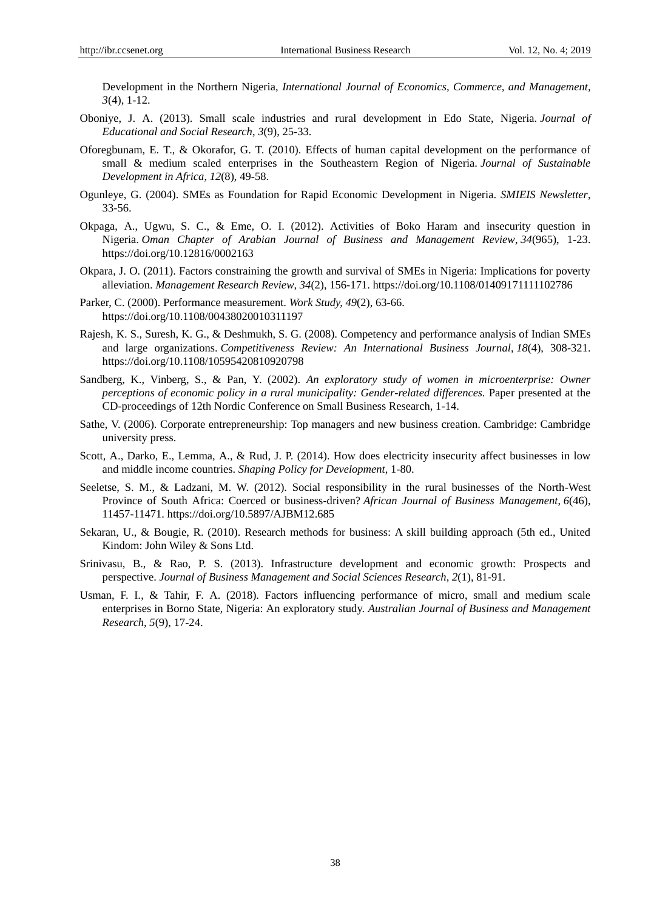Development in the Northern Nigeria, *International Journal of Economics, Commerce, and Management, 3*(4), 1-12.

- Oboniye, J. A. (2013). Small scale industries and rural development in Edo State, Nigeria. *Journal of Educational and Social Research*, *3*(9), 25-33.
- Oforegbunam, E. T., & Okorafor, G. T. (2010). Effects of human capital development on the performance of small & medium scaled enterprises in the Southeastern Region of Nigeria. *Journal of Sustainable Development in Africa*, *12*(8), 49-58.
- Ogunleye, G. (2004). SMEs as Foundation for Rapid Economic Development in Nigeria. *SMIEIS Newsletter*, 33-56.
- Okpaga, A., Ugwu, S. C., & Eme, O. I. (2012). Activities of Boko Haram and insecurity question in Nigeria. *Oman Chapter of Arabian Journal of Business and Management Review*, *34*(965), 1-23. https://doi.org/10.12816/0002163
- Okpara, J. O. (2011). Factors constraining the growth and survival of SMEs in Nigeria: Implications for poverty alleviation. *Management Research Review*, *34*(2), 156-171. https://doi.org/10.1108/01409171111102786
- Parker, C. (2000). Performance measurement. *Work Study, 49*(2), 63-66. https://doi.org/10.1108/00438020010311197
- Rajesh, K. S., Suresh, K. G., & Deshmukh, S. G. (2008). Competency and performance analysis of Indian SMEs and large organizations. *Competitiveness Review: An International Business Journal*, *18*(4), 308-321. https://doi.org/10.1108/10595420810920798
- Sandberg, K., Vinberg, S., & Pan, Y. (2002). *An exploratory study of women in microenterprise: Owner perceptions of economic policy in a rural municipality: Gender-related differences.* Paper presented at the CD-proceedings of 12th Nordic Conference on Small Business Research, 1-14.
- Sathe, V. (2006). Corporate entrepreneurship: Top managers and new business creation. Cambridge: Cambridge university press.
- Scott, A., Darko, E., Lemma, A., & Rud, J. P. (2014). How does electricity insecurity affect businesses in low and middle income countries. *Shaping Policy for Development*, 1-80.
- Seeletse, S. M., & Ladzani, M. W. (2012). Social responsibility in the rural businesses of the North-West Province of South Africa: Coerced or business-driven? *African Journal of Business Management*, *6*(46), 11457-11471. https://doi.org/10.5897/AJBM12.685
- Sekaran, U., & Bougie, R. (2010). Research methods for business: A skill building approach (5th ed., United Kindom: John Wiley & Sons Ltd.
- Srinivasu, B., & Rao, P. S. (2013). Infrastructure development and economic growth: Prospects and perspective. *Journal of Business Management and Social Sciences Research*, *2*(1), 81-91.
- Usman, F. I., & Tahir, F. A. (2018). Factors influencing performance of micro, small and medium scale enterprises in Borno State, Nigeria: An exploratory study. *Australian Journal of Business and Management Research, 5*(9), 17-24.